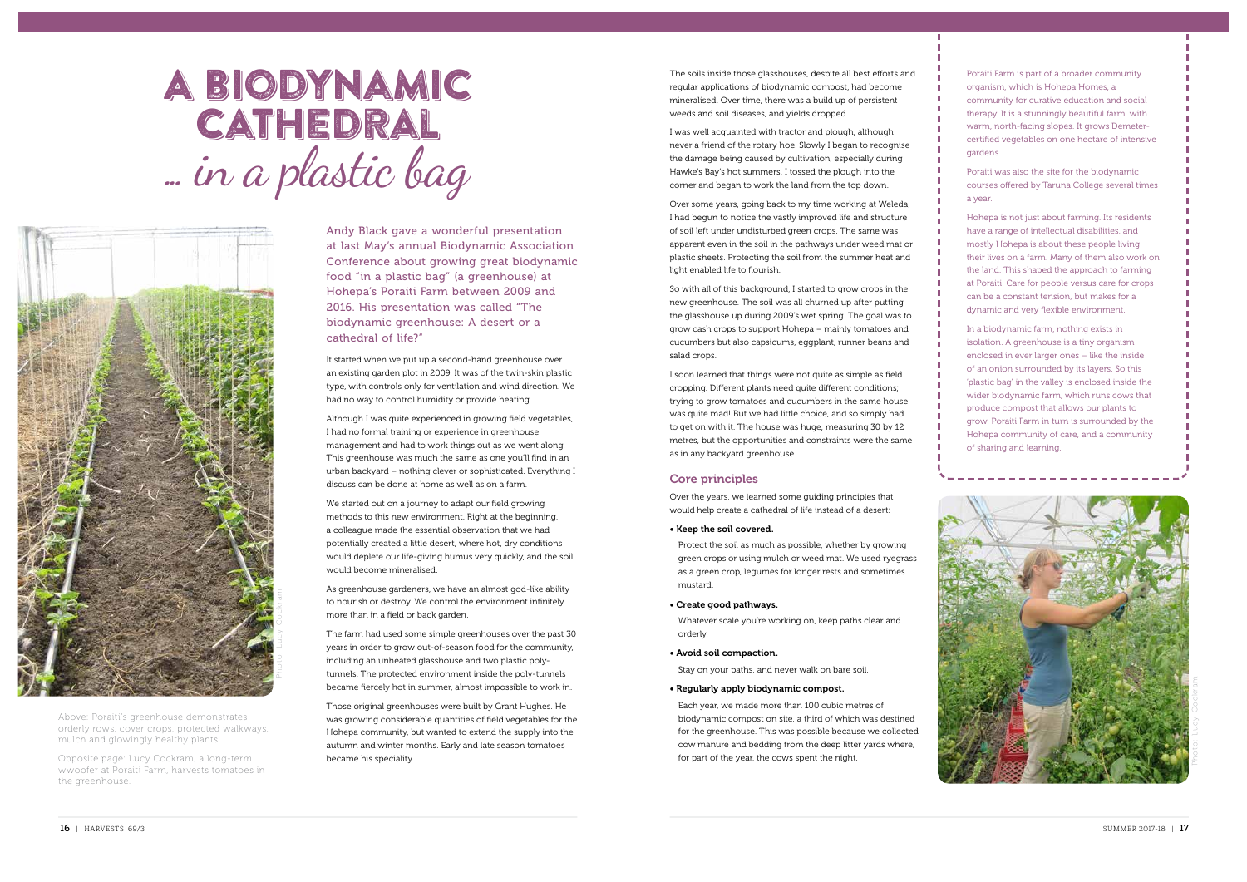# A biodynamic **CATHEDRAL** ... in a plastic bag



Above: Poraiti's greenhouse demonstrates orderly rows, cover crops, protected walkways, mulch and glowingly healthy plants.

Opposite page: Lucy Cockram, a long-term wwoofer at Poraiti Farm, harvests tomatoes in the greenhouse.

Andy Black gave a wonderful presentation at last May's annual Biodynamic Association Conference about growing great biodynamic food "in a plastic bag" (a greenhouse) at Hohepa's Poraiti Farm between 2009 and 2016. His presentation was called "The biodynamic greenhouse: A desert or a cathedral of life?"

It started when we put up a second-hand greenhouse over an existing garden plot in 2009. It was of the twin-skin plastic type, with controls only for ventilation and wind direction. We had no way to control humidity or provide heating.

Although I was quite experienced in growing field vegetables, I had no formal training or experience in greenhouse management and had to work things out as we went along. This greenhouse was much the same as one you'll find in an urban backyard – nothing clever or sophisticated. Everything I discuss can be done at home as well as on a farm.

We started out on a journey to adapt our field growing methods to this new environment. Right at the beginning, a colleague made the essential observation that we had potentially created a little desert, where hot, dry conditions would deplete our life-giving humus very quickly, and the soil would become mineralised.

As greenhouse gardeners, we have an almost god-like ability to nourish or destroy. We control the environment infinitely more than in a field or back garden.

The farm had used some simple greenhouses over the past 30 years in order to grow out-of-season food for the community, including an unheated glasshouse and two plastic polytunnels. The protected environment inside the poly-tunnels became fiercely hot in summer, almost impossible to work in.

Those original greenhouses were built by Grant Hughes. He was growing considerable quantities of field vegetables for the Hohepa community, but wanted to extend the supply into the autumn and winter months. Early and late season tomatoes became his speciality.

The soils inside those glasshouses, despite all best efforts and regular applications of biodynamic compost, had become mineralised. Over time, there was a build up of persistent weeds and soil diseases, and yields dropped.

I was well acquainted with tractor and plough, although never a friend of the rotary hoe. Slowly I began to recognise the damage being caused by cultivation, especially during Hawke's Bay's hot summers. I tossed the plough into the corner and began to work the land from the top down.

Over some years, going back to my time working at Weleda, I had begun to notice the vastly improved life and structure of soil left under undisturbed green crops. The same was apparent even in the soil in the pathways under weed mat or plastic sheets. Protecting the soil from the summer heat and light enabled life to flourish.

So with all of this background, I started to grow crops in the new greenhouse. The soil was all churned up after putting the glasshouse up during 2009's wet spring. The goal was to grow cash crops to support Hohepa – mainly tomatoes and cucumbers but also capsicums, eggplant, runner beans and salad crops.

I soon learned that things were not quite as simple as field cropping. Different plants need quite different conditions; trying to grow tomatoes and cucumbers in the same house was quite mad! But we had little choice, and so simply had to get on with it. The house was huge, measuring 30 by 12 metres, but the opportunities and constraints were the same as in any backyard greenhouse.

### Core principles

Over the years, we learned some guiding principles that would help create a cathedral of life instead of a desert:

• Keep the soil covered.

Protect the soil as much as possible, whether by growing green crops or using mulch or weed mat. We used ryegrass as a green crop, legumes for longer rests and sometimes mustard.

• Create good pathways.

Whatever scale you're working on, keep paths clear and orderly.

• Avoid soil compaction.

Stay on your paths, and never walk on bare soil.

• Regularly apply biodynamic compost.

Each year, we made more than 100 cubic metres of biodynamic compost on site, a third of which was destined for the greenhouse. This was possible because we collected cow manure and bedding from the deep litter yards where, for part of the year, the cows spent the night.

Poraiti Farm is part of a broader community organism, which is Hohepa Homes, a community for curative education and social therapy. It is a stunningly beautiful farm, with warm, north-facing slopes. It grows Demetercertified vegetables on one hectare of intensive gardens.

Poraiti was also the site for the biodynamic courses offered by Taruna College several times a year.

Hohepa is not just about farming. Its residents have a range of intellectual disabilities, and mostly Hohepa is about these people living their lives on a farm. Many of them also work on the land. This shaped the approach to farming at Poraiti. Care for people versus care for crops can be a constant tension, but makes for a dynamic and very flexible environment.

In a biodynamic farm, nothing exists in isolation. A greenhouse is a tiny organism enclosed in ever larger ones – like the inside of an onion surrounded by its layers. So this 'plastic bag' in the valley is enclosed inside the wider biodynamic farm, which runs cows that produce compost that allows our plants to grow. Poraiti Farm in turn is surrounded by the Hohepa community of care, and a community of sharing and learning.